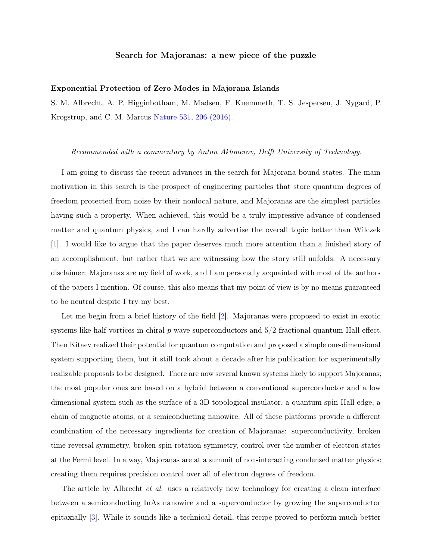## Search for Majoranas: a new piece of the puzzle

## Exponential Protection of Zero Modes in Majorana Islands

S. M. Albrecht, A. P. Higginbotham, M. Madsen, F. Kuemmeth, T. S. Jespersen, J. Nygard, P. Krogstrup, and C. M. Marcus [Nature 531, 206 \(2016\).](http://dx.doi.org/10.1038/nature17162)

## Recommended with a commentary by Anton Akhmerov, Delft University of Technology.

I am going to discuss the recent advances in the search for Majorana bound states. The main motivation in this search is the prospect of engineering particles that store quantum degrees of freedom protected from noise by their nonlocal nature, and Majoranas are the simplest particles having such a property. When achieved, this would be a truly impressive advance of condensed matter and quantum physics, and I can hardly advertise the overall topic better than Wilczek [\[1\]](#page-2-0). I would like to argue that the paper deserves much more attention than a finished story of an accomplishment, but rather that we are witnessing how the story still unfolds. A necessary disclaimer: Majoranas are my field of work, and I am personally acquainted with most of the authors of the papers I mention. Of course, this also means that my point of view is by no means guaranteed to be neutral despite I try my best.

Let me begin from a brief history of the field [\[2\]](#page-2-1). Majoranas were proposed to exist in exotic systems like half-vortices in chiral  $p$ -wave superconductors and  $5/2$  fractional quantum Hall effect. Then Kitaev realized their potential for quantum computation and proposed a simple one-dimensional system supporting them, but it still took about a decade after his publication for experimentally realizable proposals to be designed. There are now several known systems likely to support Majoranas; the most popular ones are based on a hybrid between a conventional superconductor and a low dimensional system such as the surface of a 3D topological insulator, a quantum spin Hall edge, a chain of magnetic atoms, or a semiconducting nanowire. All of these platforms provide a different combination of the necessary ingredients for creation of Majoranas: superconductivity, broken time-reversal symmetry, broken spin-rotation symmetry, control over the number of electron states at the Fermi level. In a way, Majoranas are at a summit of non-interacting condensed matter physics: creating them requires precision control over all of electron degrees of freedom.

The article by Albrecht *et al.* uses a relatively new technology for creating a clean interface between a semiconducting InAs nanowire and a superconductor by growing the superconductor epitaxially [\[3\]](#page-2-2). While it sounds like a technical detail, this recipe proved to perform much better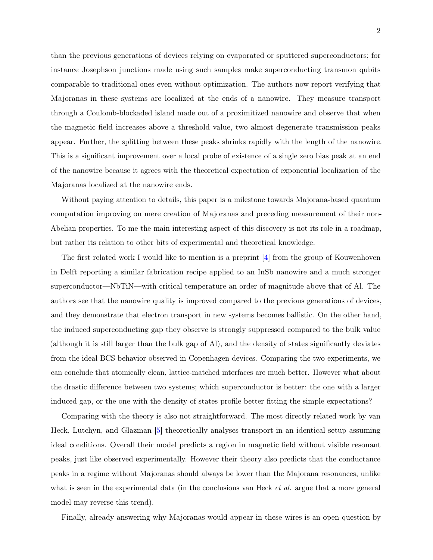than the previous generations of devices relying on evaporated or sputtered superconductors; for instance Josephson junctions made using such samples make superconducting transmon qubits comparable to traditional ones even without optimization. The authors now report verifying that Majoranas in these systems are localized at the ends of a nanowire. They measure transport through a Coulomb-blockaded island made out of a proximitized nanowire and observe that when the magnetic field increases above a threshold value, two almost degenerate transmission peaks appear. Further, the splitting between these peaks shrinks rapidly with the length of the nanowire. This is a significant improvement over a local probe of existence of a single zero bias peak at an end of the nanowire because it agrees with the theoretical expectation of exponential localization of the Majoranas localized at the nanowire ends.

Without paying attention to details, this paper is a milestone towards Majorana-based quantum computation improving on mere creation of Majoranas and preceding measurement of their non-Abelian properties. To me the main interesting aspect of this discovery is not its role in a roadmap, but rather its relation to other bits of experimental and theoretical knowledge.

The first related work I would like to mention is a preprint [\[4\]](#page-2-3) from the group of Kouwenhoven in Delft reporting a similar fabrication recipe applied to an InSb nanowire and a much stronger superconductor—NbTiN—with critical temperature an order of magnitude above that of Al. The authors see that the nanowire quality is improved compared to the previous generations of devices, and they demonstrate that electron transport in new systems becomes ballistic. On the other hand, the induced superconducting gap they observe is strongly suppressed compared to the bulk value (although it is still larger than the bulk gap of Al), and the density of states significantly deviates from the ideal BCS behavior observed in Copenhagen devices. Comparing the two experiments, we can conclude that atomically clean, lattice-matched interfaces are much better. However what about the drastic difference between two systems; which superconductor is better: the one with a larger induced gap, or the one with the density of states profile better fitting the simple expectations?

Comparing with the theory is also not straightforward. The most directly related work by van Heck, Lutchyn, and Glazman [\[5\]](#page-2-4) theoretically analyses transport in an identical setup assuming ideal conditions. Overall their model predicts a region in magnetic field without visible resonant peaks, just like observed experimentally. However their theory also predicts that the conductance peaks in a regime without Majoranas should always be lower than the Majorana resonances, unlike what is seen in the experimental data (in the conclusions van Heck *et al.* argue that a more general model may reverse this trend).

Finally, already answering why Majoranas would appear in these wires is an open question by